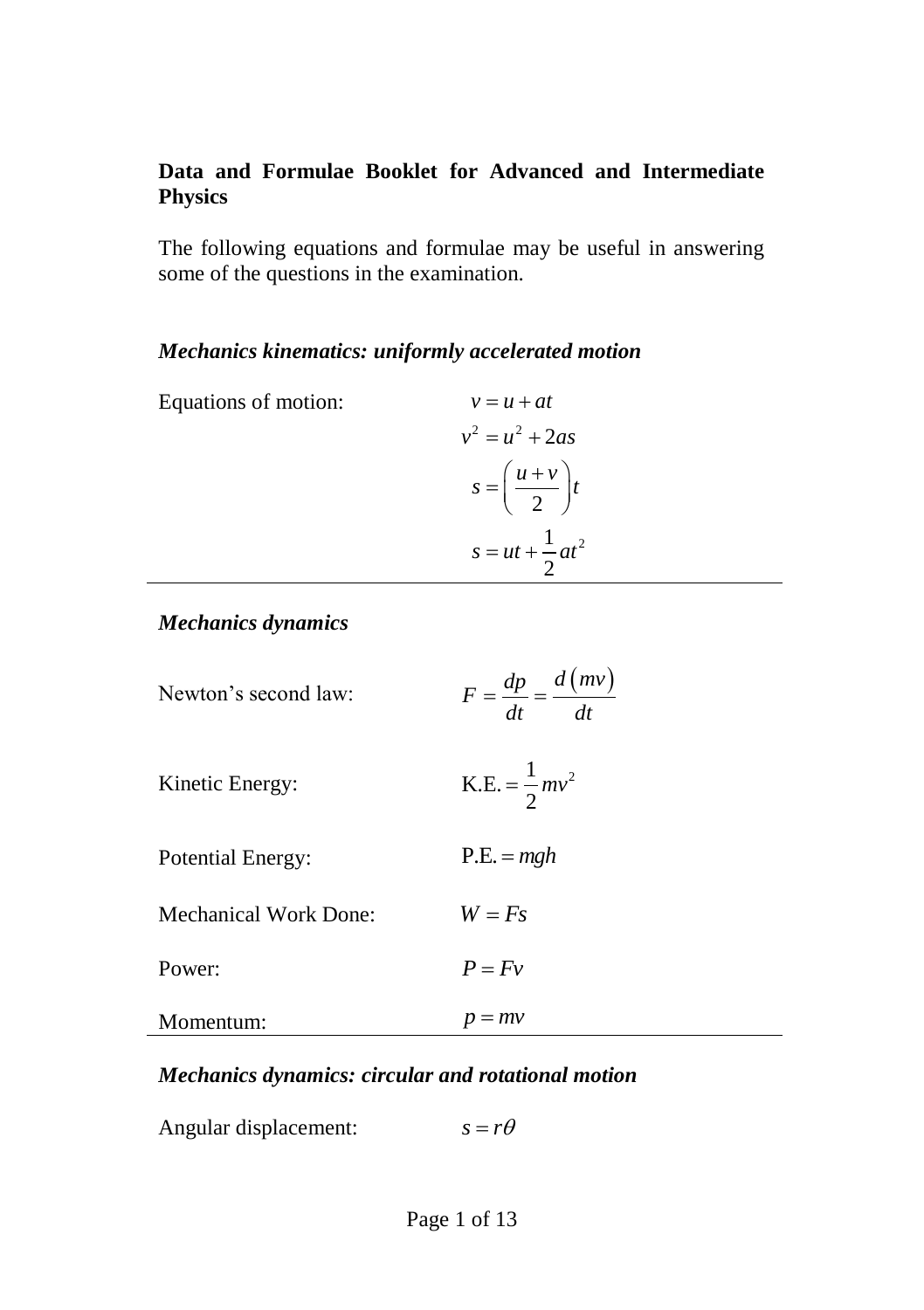#### **Data and Formulae Booklet for Advanced and Intermediate Physics**

The following equations and formulae may be useful in answering some of the questions in the examination.

#### *Mechanics kinematics: uniformly accelerated motion*

Equations of motion:

$$
v = u + at
$$
  
\n
$$
v^{2} = u^{2} + 2as
$$
  
\n
$$
s = \left(\frac{u+v}{2}\right)t
$$
  
\n
$$
s = ut + \frac{1}{2}at^{2}
$$

#### *Mechanics dynamics*

| Newton's second law:  | $F = \frac{dp}{dt} = \frac{d \, (mv)}{dt}$ |
|-----------------------|--------------------------------------------|
| Kinetic Energy:       | K.E. = $\frac{1}{2}mv^2$                   |
| Potential Energy:     | $P.E. = mgh$                               |
| Mechanical Work Done: | $W = Fs$                                   |
| Power:                | $P = Fv$                                   |
| Momentum:             | $= mv$                                     |

#### *Mechanics dynamics: circular and rotational motion*

Angular displacement:  $s = r\theta$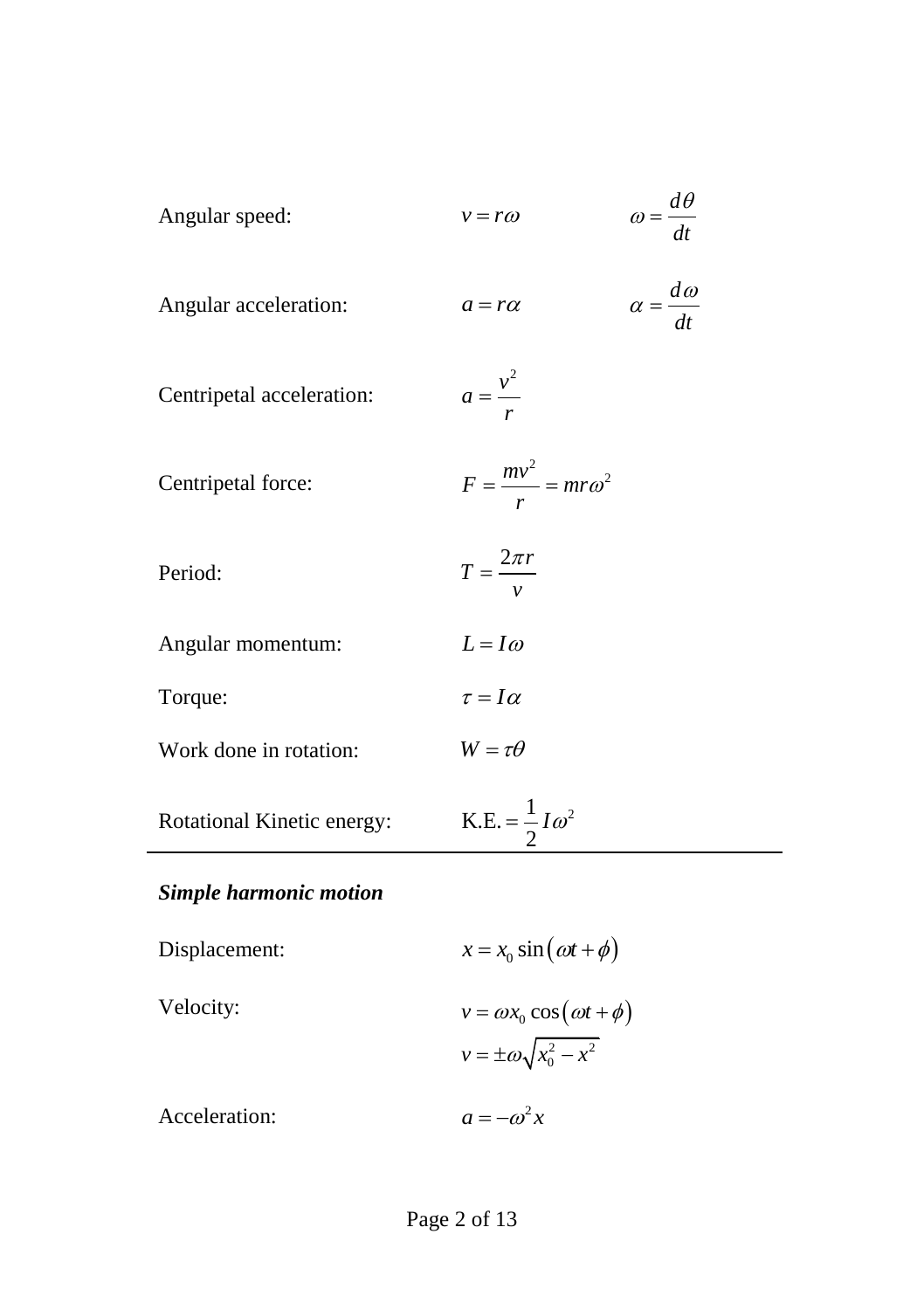| Angular speed:             | $v = r\omega$                     | $\omega = \frac{d\theta}{dt}$ |
|----------------------------|-----------------------------------|-------------------------------|
| Angular acceleration:      | $a = r\alpha$                     | $\alpha = \frac{d\omega}{dt}$ |
| Centripetal acceleration:  | $a = \frac{v^2}{r}$               |                               |
| Centripetal force:         | $F = \frac{mv^2}{r} = mr\omega^2$ |                               |
| Period:                    | $T = \frac{2\pi r}{v}$            |                               |
| Angular momentum:          | $L = I\omega$                     |                               |
| Torque:                    | $\tau = I\alpha$                  |                               |
| Work done in rotation:     | $W = \tau \theta$                 |                               |
| Rotational Kinetic energy: | K.E. = $\frac{1}{2}I\omega^2$     |                               |

# *Simple harmonic motion*

| Displacement: | $x = x_0 \sin(\omega t + \phi)$        |
|---------------|----------------------------------------|
| Velocity:     | $v = \omega x_0 \cos(\omega t + \phi)$ |
|               | $v = \pm \omega \sqrt{x_0^2 - x^2}$    |
| Acceleration: | $a = -\omega^2 x$                      |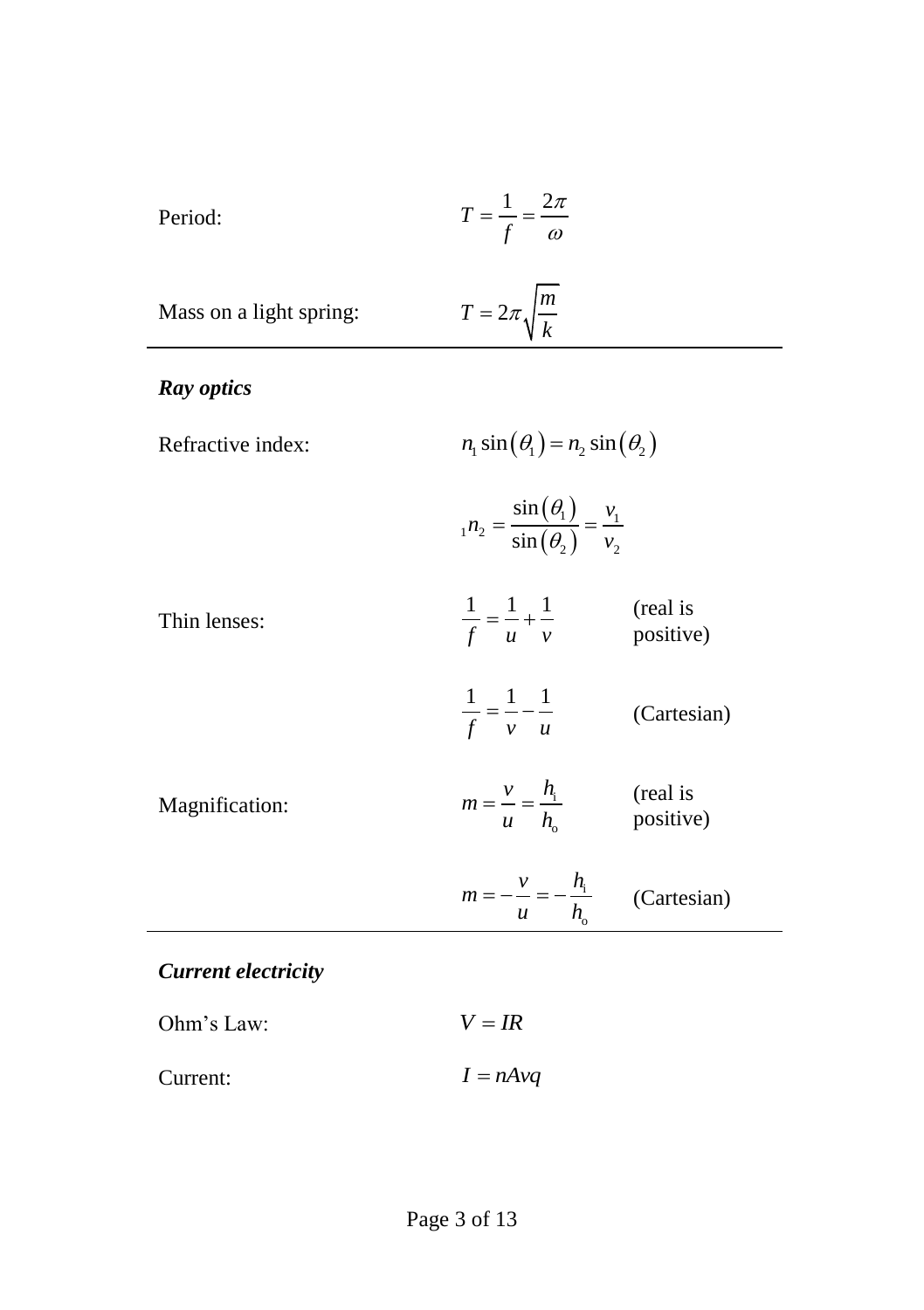$$
T = \frac{1}{f} = \frac{2\pi}{\omega}
$$

Mass on a light spring: 
$$
T = 2\pi \sqrt{\frac{m}{k}}
$$

## *Ray optics*

| Refractive index: | $n_1 \sin(\theta_1) = n_2 \sin(\theta_2)$ |
|-------------------|-------------------------------------------|
|-------------------|-------------------------------------------|

 $(\theta_{\scriptscriptstyle 1})$  $(\theta_{2})$  $n_1 n_2 = \frac{\sin(\theta_1)}{\sin(\theta_2)} = \frac{v_1}{v_2}$ sin sin  $n_2 = \frac{\sin(\theta_1)}{\sin(\theta_2)} = \frac{v}{v}$ θ,  $=\frac{\sin(\theta_1)}{\sin(\theta_2)}=-$ 

| Thin lenses: | (real is  |  |
|--------------|-----------|--|
|              | positive) |  |

|  | (Cartesian) |
|--|-------------|
|  |             |

| Magnification: | $m=\frac{v}{r}=\frac{h_i}{r}$<br>$\boldsymbol{u}$ | (real is<br>positive) |
|----------------|---------------------------------------------------|-----------------------|
|----------------|---------------------------------------------------|-----------------------|

| $m =$ |             |
|-------|-------------|
|       | (Cartesian) |

## *Current electricity*

| Ohm's Law: | $V = IR$   |
|------------|------------|
| Current:   | $I = nAvq$ |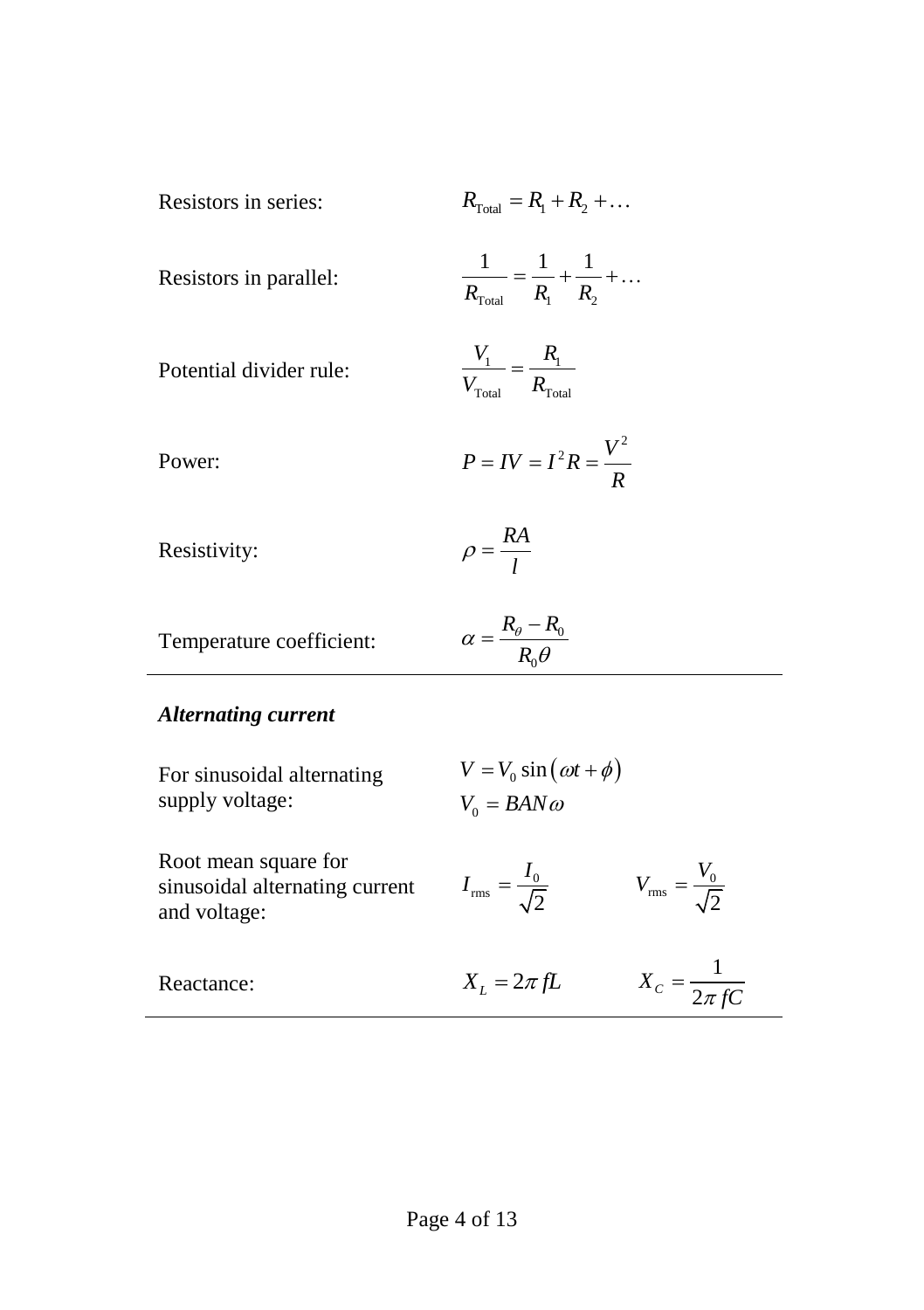| Resistors in series: | $R_{\text{Total}} = R_1 + R_2 + $ |  |  |
|----------------------|-----------------------------------|--|--|
|                      |                                   |  |  |

| Resistors in parallel: | $R_{\text{Total}}$ | K, |  |
|------------------------|--------------------|----|--|

| Potential divider rule: |                 |                    |
|-------------------------|-----------------|--------------------|
|                         | $V_{\rm Total}$ | $R_{\text{Total}}$ |

Power: 
$$
P = IV = I^2 R = \frac{V^2}{R}
$$

Resistivity: 
$$
\rho = \frac{RA}{l}
$$

| Temperature coefficient: | $R_{\scriptscriptstyle{\theta}} - R_{\scriptscriptstyle{\theta}}$<br>$R_{\alpha}\theta$ |
|--------------------------|-----------------------------------------------------------------------------------------|
|                          |                                                                                         |

# *Alternating current*

| For sinusoidal alternating<br>supply voltage:                          | $V = V_0 \sin(\omega t + \phi)$<br>$V_0 = BAN\omega$ |                                  |
|------------------------------------------------------------------------|------------------------------------------------------|----------------------------------|
| Root mean square for<br>sinusoidal alternating current<br>and voltage: | $I_{\text{rms}} = \frac{I_0}{\sqrt{2}}$              | $V_{\text{rms}} = \frac{V_0}{I}$ |
| Reactance:                                                             | $X_i = 2\pi fL$                                      | $X_c = \frac{1}{2\pi fC}$        |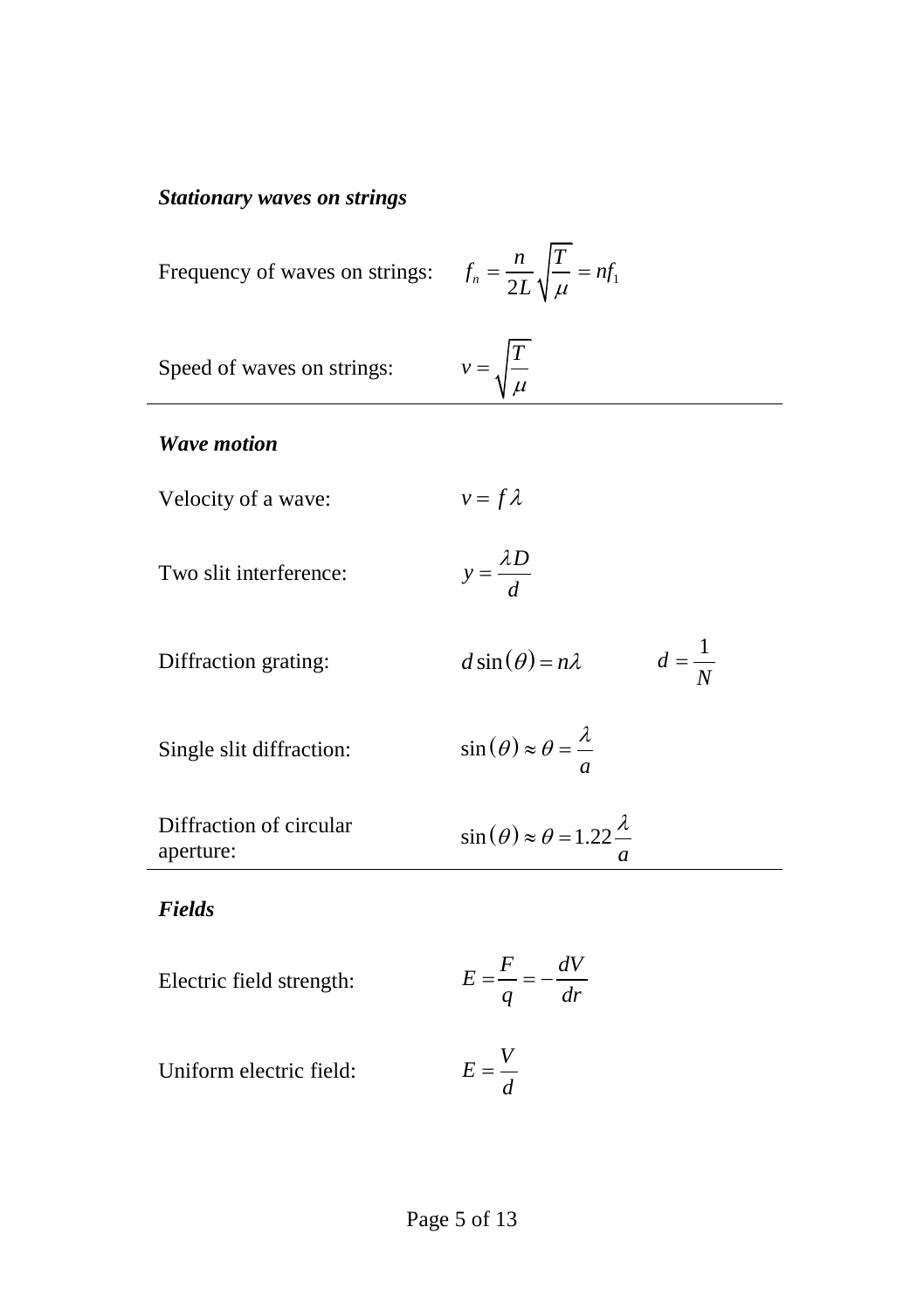## *Stationary waves on strings*

| Frequency of waves on strings:       | $f_n = \frac{n}{2L} \sqrt{\frac{T}{\mu}} = nf_1$              |
|--------------------------------------|---------------------------------------------------------------|
| Speed of waves on strings:           | $v = \sqrt{\frac{T}{\mu}}$                                    |
| <b>Wave motion</b>                   |                                                               |
| Velocity of a wave:                  | $v = f \lambda$                                               |
| Two slit interference:               | $y = \frac{\lambda D}{d}$                                     |
| Diffraction grating:                 | $d=\frac{1}{N}$<br>$d \sin(\theta) = n\lambda$                |
| Single slit diffraction:             | $\sin(\theta) \approx \theta = \frac{\lambda}{a}$             |
| Diffraction of circular<br>aperture: | $\sin(\theta) \approx \theta = 1.22 \frac{\lambda}{\epsilon}$ |
| <b>Fields</b>                        |                                                               |
| Electric field strength:             | $E = \frac{F}{a} = -\frac{dV}{dr}$                            |
| Uniform electric field:              | $E=\frac{V}{J}$                                               |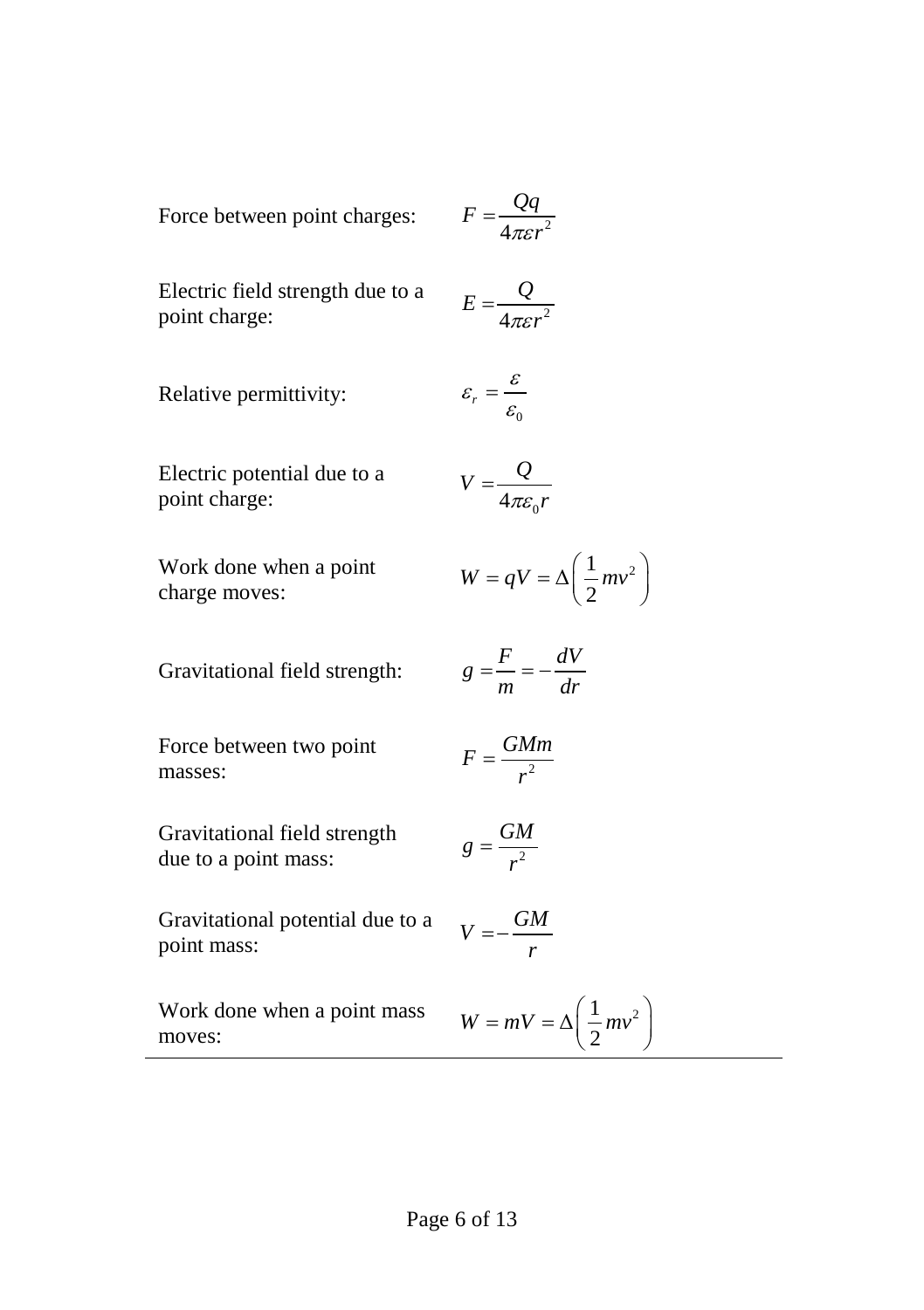Force between point charges: 
$$
F = \frac{Qq}{4\pi\epsilon r^2}
$$

Electric field strength due to a point charge:

Relative permittivity:

$$
\varepsilon_r = \frac{\varepsilon}{\varepsilon_0}
$$

 $4\pi\epsilon r^2$  $E = \frac{Q}{4\pi\epsilon r}$  $=$ 

Electric potential due to a point charge:

$$
V = \frac{Q}{4\pi\varepsilon_0 r}
$$

Work done when a point charge moves:

$$
W = qV = \Delta \left(\frac{1}{2}mv^2\right)
$$

Gravitational field strength:

|   | $\mathbf{F}$ | dV |
|---|--------------|----|
| g | т            | dr |

Force between two point masses:

$$
F=\frac{GMm}{r^2}
$$

Gravitational field strength due to a point mass:

$$
g=\frac{GM}{r^2}
$$

Gravitational potential due to a point mass:

$$
V = -\frac{GM}{r}
$$

Work done when a point mass moves:

$$
W = mV = \Delta \left(\frac{1}{2}mv^2\right)
$$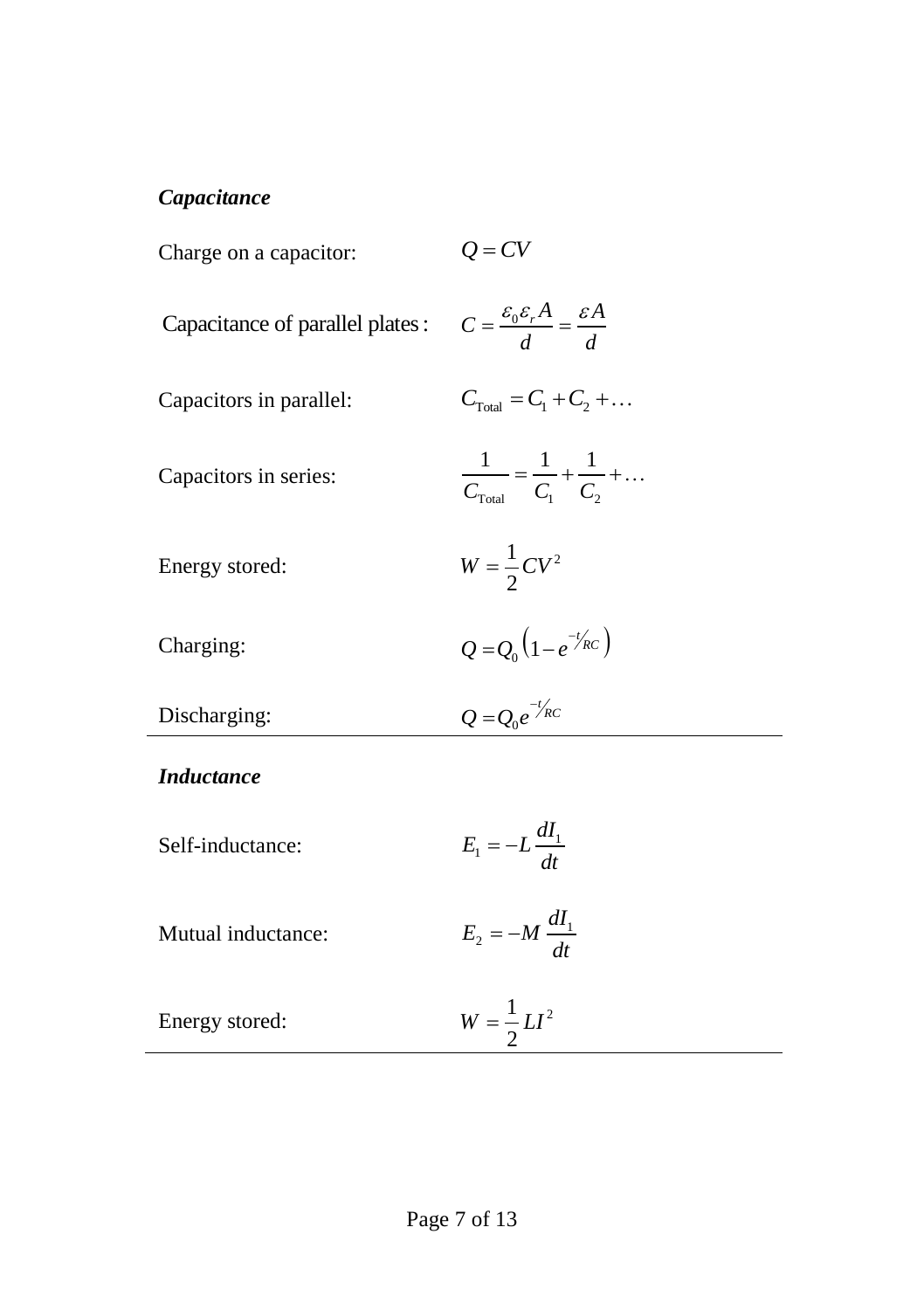## *Capacitance*

| Charge on a capacitor:           | $Q = CV$                                                                |
|----------------------------------|-------------------------------------------------------------------------|
| Capacitance of parallel plates : | $C = \frac{\varepsilon_0 \varepsilon_r A}{d} = \frac{\varepsilon A}{d}$ |
| Capacitors in parallel:          | $C_{\text{Total}} = C_1 + C_2 + $                                       |
| Capacitors in series:            | $\frac{1}{C_{\text{Total}}} = \frac{1}{C_1} + \frac{1}{C_2} + \dots$    |
| Energy stored:                   | $W=\frac{1}{2}CV^2$                                                     |
| Charging:                        | $Q = Q_0 \left( 1 - e^{-t/RC} \right)$                                  |
| Discharging:                     | $Q = Q_0 e^{-t/\kappa c}$                                               |
| <b>Inductance</b>                |                                                                         |
| Self-inductance:                 | $E_1 = -L \frac{dI_1}{dt}$                                              |
| Mutual inductance:               | $E_2 = -M \frac{dI_1}{dt}$                                              |
| Energy stored:                   | $W = \frac{1}{2}LI^{2}$                                                 |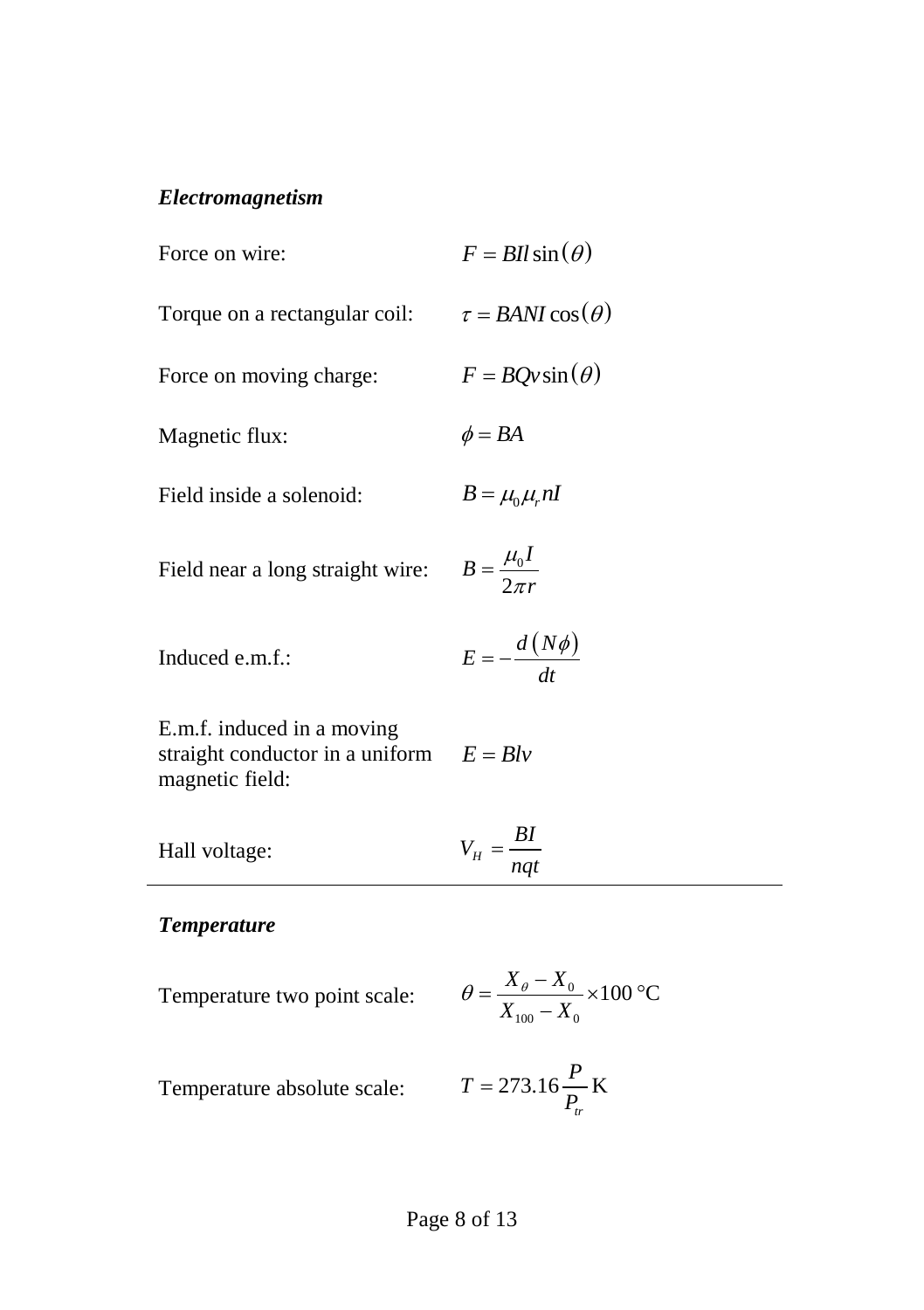## *Electromagnetism*

| Force on wire:                                                                   | $F = Bll \sin(\theta)$                                                       |
|----------------------------------------------------------------------------------|------------------------------------------------------------------------------|
| Torque on a rectangular coil:                                                    | $\tau = BANI\cos(\theta)$                                                    |
| Force on moving charge:                                                          | $F = BOv\sin(\theta)$                                                        |
| Magnetic flux:                                                                   | $\phi = BA$                                                                  |
| Field inside a solenoid:                                                         | $B = \mu_0 \mu_r nI$                                                         |
| Field near a long straight wire: $B = \frac{\mu_0 I}{2 \pi r}$                   |                                                                              |
| Induced e.m.f.:                                                                  | $E = -\frac{d (N\phi)}{dt}$                                                  |
| E.m.f. induced in a moving<br>straight conductor in a uniform<br>magnetic field: | $E = Blv$                                                                    |
| Hall voltage:                                                                    | $V_H = \frac{BI}{nqt}$                                                       |
| <b>Temperature</b>                                                               |                                                                              |
| Temperature two point scale:                                                     | $\theta = \frac{X_{\theta} - X_0}{X_{\text{max}} - X} \times 100 \text{ °C}$ |

Temperature absolute scale: *T*

$$
T = 273.16 \frac{P}{P_{tr}} \text{K}
$$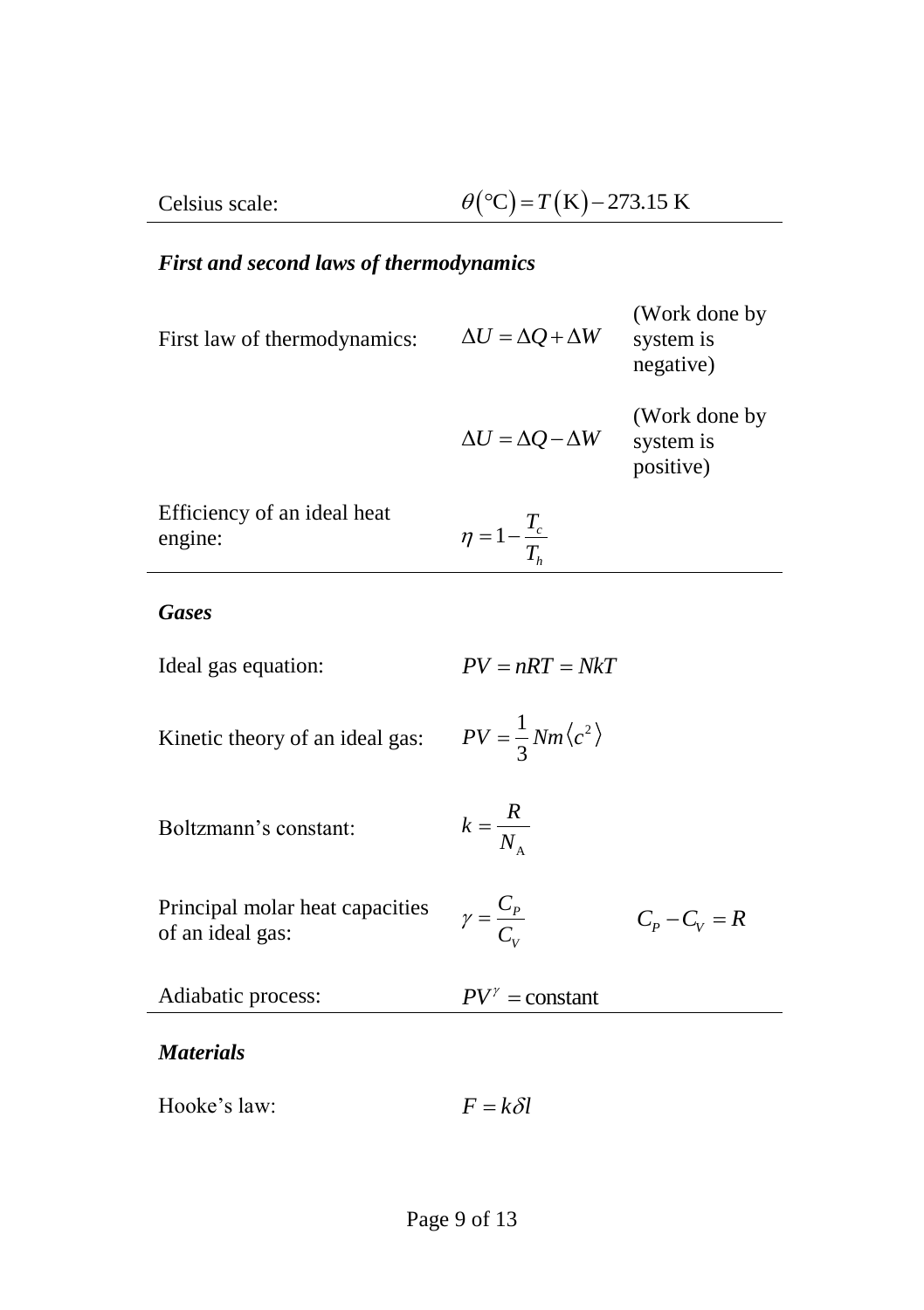# *First and second laws of thermodynamics*

| First law of thermodynamics:                        | $\Delta U = \Delta Q + \Delta W$       | (Work done by<br>system is<br>negative) |
|-----------------------------------------------------|----------------------------------------|-----------------------------------------|
|                                                     | $\Delta U = \Delta Q - \Delta W$       | (Work done by<br>system is<br>positive) |
| Efficiency of an ideal heat<br>engine:              | $\eta = 1 - \frac{T_c}{T_h}$           |                                         |
| <b>Gases</b>                                        |                                        |                                         |
| Ideal gas equation:                                 | $PV = nRT = NkT$                       |                                         |
| Kinetic theory of an ideal gas:                     | $PV = \frac{1}{3}Nm\langle c^2\rangle$ |                                         |
| Boltzmann's constant:                               | $k = \frac{R}{N_A}$                    |                                         |
| Principal molar heat capacities<br>of an ideal gas: | $\gamma = \frac{C_P}{C}$               | $C_p - C_V = R$                         |
| Adiabatic process:                                  | $PV^{\gamma}$ = constant               |                                         |
| <b>Materials</b>                                    |                                        |                                         |
| Hooke's law:                                        | $F = k \delta l$                       |                                         |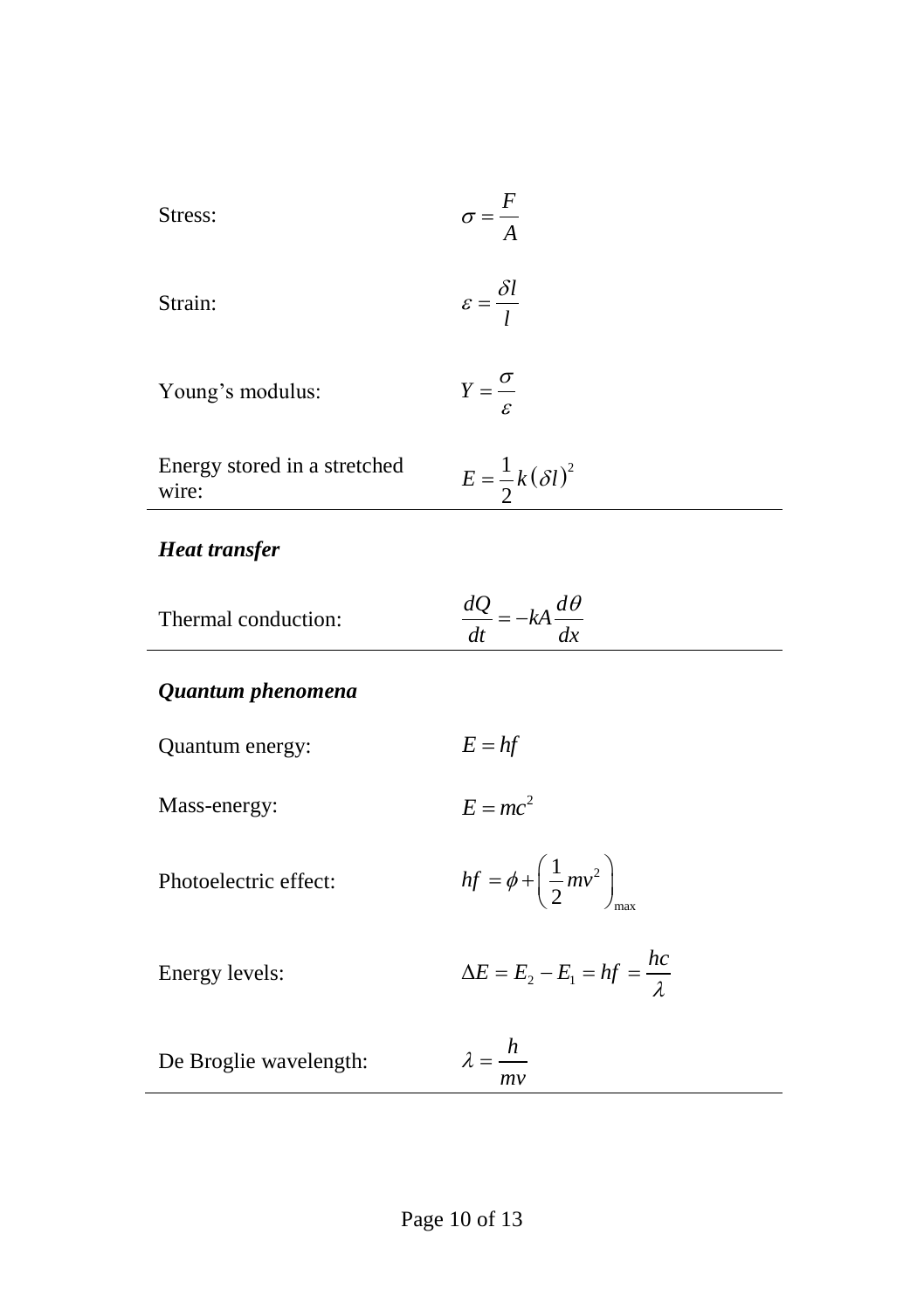| Stress: | $\sigma$ – |
|---------|------------|
|         |            |

Strain: 
$$
\varepsilon = \frac{\delta l}{l}
$$

Young's modulus:

| Energy stored in a stretched | $E = \frac{1}{k} (\delta l)^2$ |  |
|------------------------------|--------------------------------|--|
| wire:                        |                                |  |

# *Heat transfer*

| Thermal conduction: | $\frac{dQ}{dt} = -kA \frac{dt}{dt}$ |  |
|---------------------|-------------------------------------|--|
|                     |                                     |  |

 $Y = \frac{\sigma}{\sigma}$  $=\frac{6}{\varepsilon}$ 

## *Quantum phenomena*

| Quantum energy:        | $E = hf$                                         |
|------------------------|--------------------------------------------------|
| Mass-energy:           | $E = mc^2$                                       |
| Photoelectric effect:  | $hf = \phi + \left(\frac{1}{2}mv^2\right)$       |
| Energy levels:         | $\Delta E = E_2 - E_1 = hf = \frac{hc}{\lambda}$ |
| De Broglie wavelength: | $\lambda = \frac{h}{\sqrt{2}}$<br>mv             |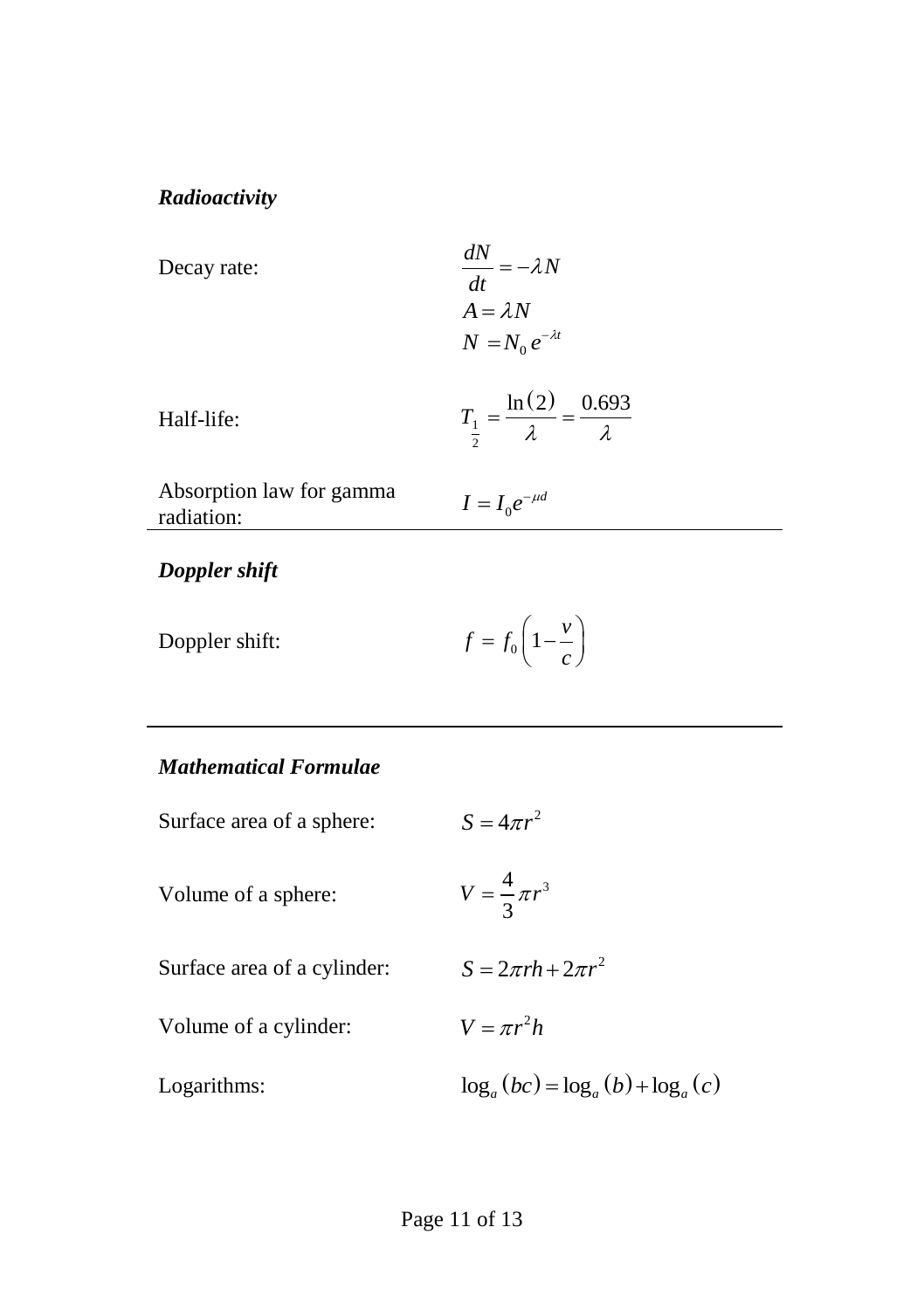## *Radioactivity*

Decay rate:  
\n
$$
\frac{dN}{dt} = -\lambda N
$$
\n
$$
A = \lambda N
$$
\n
$$
N = N_0 e^{-\lambda t}
$$
\nHalf-life:  
\n
$$
T_1 = \frac{\ln(2)}{\lambda} = \frac{0.693}{\lambda}
$$
\nAbsorption law for gamma  
\nradiation:  
\n
$$
I = I_0 e^{-\mu d}
$$

## *Doppler shift*

| Doppler shift: | $f = f_0 \left( 1 - \frac{v}{c} \right)$ |  |
|----------------|------------------------------------------|--|
|----------------|------------------------------------------|--|

## *Mathematical Formulae*

| $S = 4\pi r^2$                       |
|--------------------------------------|
| $V = \frac{4}{3}\pi r^3$             |
| $S = 2\pi rh + 2\pi r^2$             |
| $V = \pi r^2 h$                      |
| $\log_a(bc) = \log_a(b) + \log_a(c)$ |
|                                      |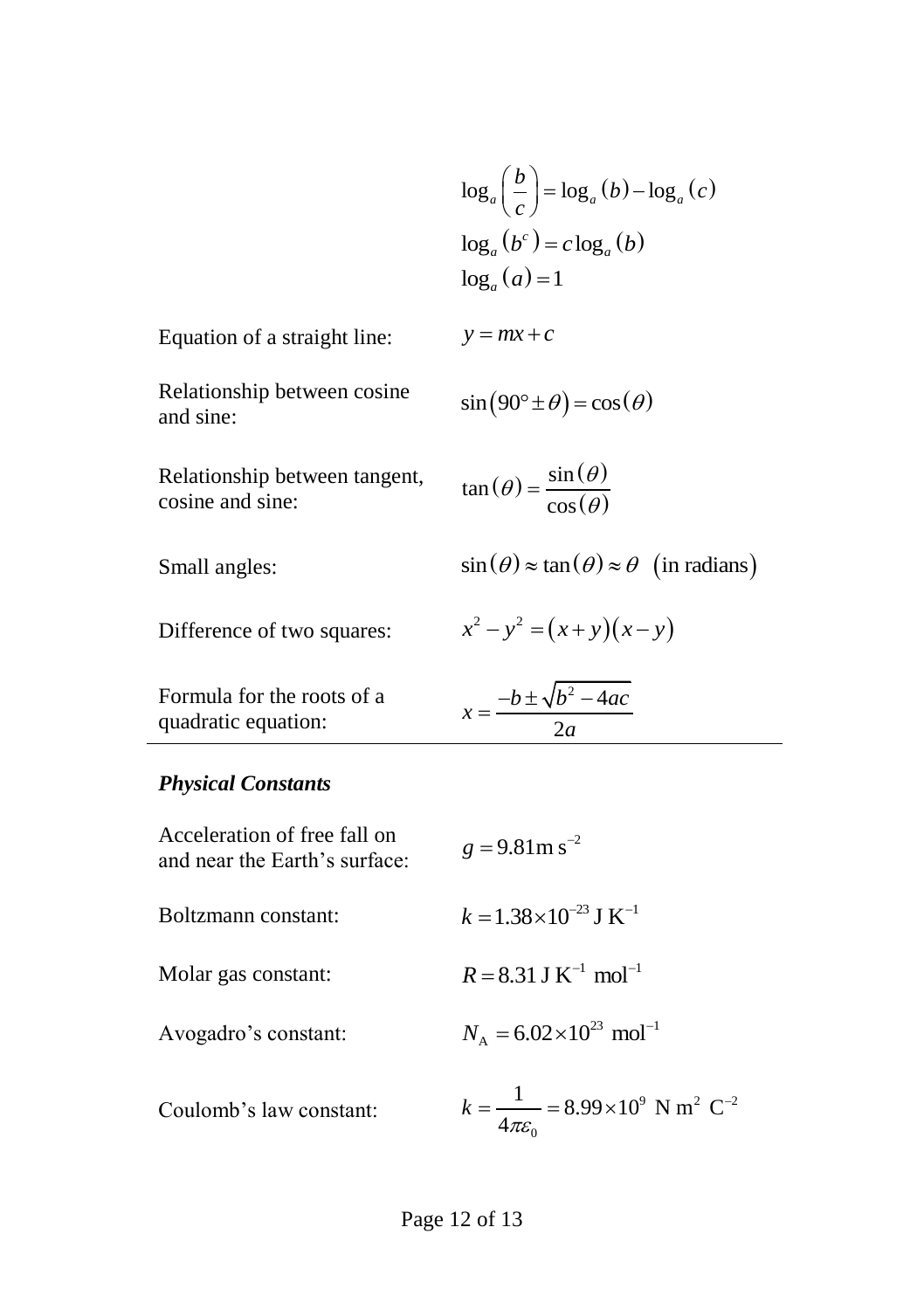$$
\log_a\left(\frac{b}{c}\right) = \log_a(b) - \log_a(c)
$$
  

$$
\log_a(b^c) = c \log_a(b)
$$
  

$$
\log_a(a) = 1
$$

$$
\tan(\theta) = \frac{\sin(\theta)}{\cos(\theta)}
$$

 $sin(\theta) \approx tan(\theta) \approx \theta$  (in radians)

$$
x^2 - y^2 = (x + y)(x - y)
$$

| Formula for the roots of a | $-b \pm \sqrt{b^2-4ac}$ |
|----------------------------|-------------------------|
| quadratic equation:        |                         |

#### *Physical Constants*

|                                                               | $\log_a\left(\frac{b}{c}\right) = \log_a\left(b\right) - \log_a\left(c\right)$   |  |
|---------------------------------------------------------------|----------------------------------------------------------------------------------|--|
|                                                               | $\log_a(b^c) = c \log_a(b)$                                                      |  |
|                                                               | $\log_a(a)=1$                                                                    |  |
| Equation of a straight line:                                  | $y = mx + c$                                                                     |  |
| Relationship between cosine<br>and sine:                      | $\sin(90^\circ \pm \theta) = \cos(\theta)$                                       |  |
| Relationship between tangent,<br>cosine and sine:             | $an(\theta) = \frac{\sin(\theta)}{\cos(\theta)}$                                 |  |
| Small angles:                                                 | $\sin(\theta) \approx \tan(\theta) \approx \theta$ (in radian                    |  |
| Difference of two squares:                                    | $x^{2}-y^{2} = (x+y)(x-y)$                                                       |  |
| Formula for the roots of a<br>quadratic equation:             | $x = \frac{-b \pm \sqrt{b^2 - 4ac}}{2a}$                                         |  |
| <b>Physical Constants</b>                                     |                                                                                  |  |
| Acceleration of free fall on<br>and near the Earth's surface: | $g = 9.81$ m s <sup>-2</sup>                                                     |  |
| Boltzmann constant:                                           | $k = 1.38 \times 10^{-23}$ J K <sup>-1</sup>                                     |  |
| Molar gas constant:                                           | $R = 8.31$ J K <sup>-1</sup> mol <sup>-1</sup>                                   |  |
| Avogadro's constant:                                          | $N_A = 6.02 \times 10^{23}$ mol <sup>-1</sup>                                    |  |
| Coulomb's law constant:                                       | $k = \frac{1}{4\pi\epsilon} = 8.99 \times 10^9$ N m <sup>2</sup> C <sup>-2</sup> |  |
| Page 12 of 13                                                 |                                                                                  |  |
|                                                               |                                                                                  |  |